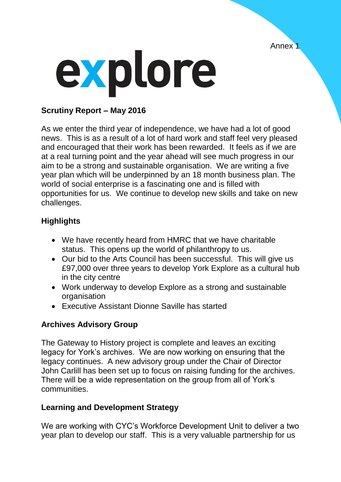Annex 1



### **Scrutiny Report – May 2016**

As we enter the third year of independence, we have had a lot of good news. This is as a result of a lot of hard work and staff feel very pleased and encouraged that their work has been rewarded. It feels as if we are at a real turning point and the year ahead will see much progress in our aim to be a strong and sustainable organisation. We are writing a five year plan which will be underpinned by an 18 month business plan. The world of social enterprise is a fascinating one and is filled with opportunities for us. We continue to develop new skills and take on new challenges.

# **Highlights**

- We have recently heard from HMRC that we have charitable status. This opens up the world of philanthropy to us.
- Our bid to the Arts Council has been successful. This will give us £97,000 over three years to develop York Explore as a cultural hub in the city centre
- Work underway to develop Explore as a strong and sustainable organisation
- Executive Assistant Dionne Saville has started

# **Archives Advisory Group**

The Gateway to History project is complete and leaves an exciting legacy for York's archives. We are now working on ensuring that the legacy continues. A new advisory group under the Chair of Director John Carlill has been set up to focus on raising funding for the archives. There will be a wide representation on the group from all of York's communities.

### **Learning and Development Strategy**

We are working with CYC's Workforce Development Unit to deliver a two year plan to develop our staff. This is a very valuable partnership for us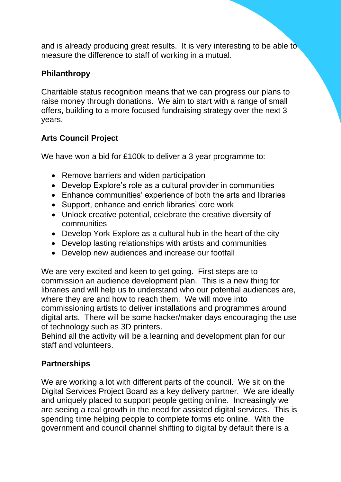and is already producing great results. It is very interesting to be able to measure the difference to staff of working in a mutual.

## **Philanthropy**

Charitable status recognition means that we can progress our plans to raise money through donations. We aim to start with a range of small offers, building to a more focused fundraising strategy over the next 3 years.

# **Arts Council Project**

We have won a bid for £100k to deliver a 3 year programme to:

- Remove barriers and widen participation
- Develop Explore's role as a cultural provider in communities
- Enhance communities' experience of both the arts and libraries
- Support, enhance and enrich libraries' core work
- Unlock creative potential, celebrate the creative diversity of communities
- Develop York Explore as a cultural hub in the heart of the city
- Develop lasting relationships with artists and communities
- Develop new audiences and increase our footfall

We are very excited and keen to get going. First steps are to commission an audience development plan. This is a new thing for libraries and will help us to understand who our potential audiences are, where they are and how to reach them. We will move into commissioning artists to deliver installations and programmes around digital arts. There will be some hacker/maker days encouraging the use of technology such as 3D printers.

Behind all the activity will be a learning and development plan for our staff and volunteers.

### **Partnerships**

We are working a lot with different parts of the council. We sit on the Digital Services Project Board as a key delivery partner. We are ideally and uniquely placed to support people getting online. Increasingly we are seeing a real growth in the need for assisted digital services. This is spending time helping people to complete forms etc online. With the government and council channel shifting to digital by default there is a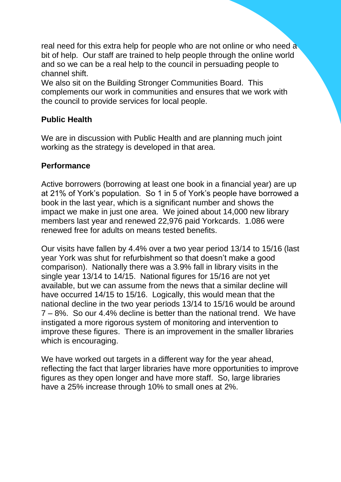real need for this extra help for people who are not online or who need a bit of help. Our staff are trained to help people through the online world and so we can be a real help to the council in persuading people to channel shift.

We also sit on the Building Stronger Communities Board. This complements our work in communities and ensures that we work with the council to provide services for local people.

## **Public Health**

We are in discussion with Public Health and are planning much joint working as the strategy is developed in that area.

#### **Performance**

Active borrowers (borrowing at least one book in a financial year) are up at 21% of York's population. So 1 in 5 of York's people have borrowed a book in the last year, which is a significant number and shows the impact we make in just one area. We joined about 14,000 new library members last year and renewed 22,976 paid Yorkcards. 1.086 were renewed free for adults on means tested benefits.

Our visits have fallen by 4.4% over a two year period 13/14 to 15/16 (last year York was shut for refurbishment so that doesn't make a good comparison). Nationally there was a 3.9% fall in library visits in the single year 13/14 to 14/15. National figures for 15/16 are not yet available, but we can assume from the news that a similar decline will have occurred 14/15 to 15/16. Logically, this would mean that the national decline in the two year periods 13/14 to 15/16 would be around 7 – 8%. So our 4.4% decline is better than the national trend. We have instigated a more rigorous system of monitoring and intervention to improve these figures. There is an improvement in the smaller libraries which is encouraging.

We have worked out targets in a different way for the year ahead, reflecting the fact that larger libraries have more opportunities to improve figures as they open longer and have more staff. So, large libraries have a 25% increase through 10% to small ones at 2%.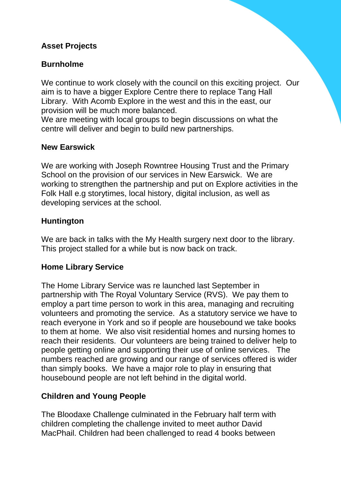### **Asset Projects**

### **Burnholme**

We continue to work closely with the council on this exciting project. Our aim is to have a bigger Explore Centre there to replace Tang Hall Library. With Acomb Explore in the west and this in the east, our provision will be much more balanced.

We are meeting with local groups to begin discussions on what the centre will deliver and begin to build new partnerships.

#### **New Earswick**

We are working with Joseph Rowntree Housing Trust and the Primary School on the provision of our services in New Earswick. We are working to strengthen the partnership and put on Explore activities in the Folk Hall e.g storytimes, local history, digital inclusion, as well as developing services at the school.

#### **Huntington**

We are back in talks with the My Health surgery next door to the library. This project stalled for a while but is now back on track.

#### **Home Library Service**

The Home Library Service was re launched last September in partnership with The Royal Voluntary Service (RVS). We pay them to employ a part time person to work in this area, managing and recruiting volunteers and promoting the service. As a statutory service we have to reach everyone in York and so if people are housebound we take books to them at home. We also visit residential homes and nursing homes to reach their residents. Our volunteers are being trained to deliver help to people getting online and supporting their use of online services. The numbers reached are growing and our range of services offered is wider than simply books. We have a major role to play in ensuring that housebound people are not left behind in the digital world.

#### **Children and Young People**

The Bloodaxe Challenge culminated in the February half term with children completing the challenge invited to meet author David MacPhail. Children had been challenged to read 4 books between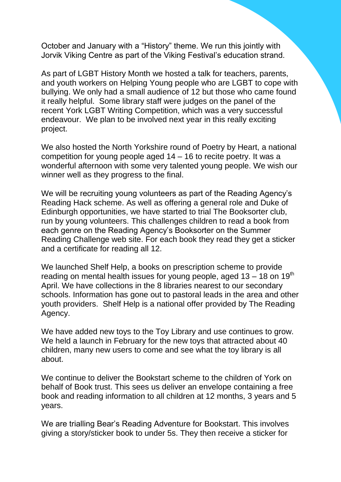October and January with a "History" theme. We run this jointly with Jorvik Viking Centre as part of the Viking Festival's education strand.

As part of LGBT History Month we hosted a talk for teachers, parents, and youth workers on Helping Young people who are LGBT to cope with bullying. We only had a small audience of 12 but those who came found it really helpful. Some library staff were judges on the panel of the recent York LGBT Writing Competition, which was a very successful endeavour. We plan to be involved next year in this really exciting project.

We also hosted the North Yorkshire round of Poetry by Heart, a national competition for young people aged 14 – 16 to recite poetry. It was a wonderful afternoon with some very talented young people. We wish our winner well as they progress to the final.

We will be recruiting young volunteers as part of the Reading Agency's Reading Hack scheme. As well as offering a general role and Duke of Edinburgh opportunities, we have started to trial The Booksorter club, run by young volunteers. This challenges children to read a book from each genre on the Reading Agency's Booksorter on the Summer Reading Challenge web site. For each book they read they get a sticker and a certificate for reading all 12.

We launched Shelf Help, a books on prescription scheme to provide reading on mental health issues for young people, aged  $13 - 18$  on  $19<sup>th</sup>$ April. We have collections in the 8 libraries nearest to our secondary schools. Information has gone out to pastoral leads in the area and other youth providers. Shelf Help is a national offer provided by The Reading Agency.

We have added new toys to the Toy Library and use continues to grow. We held a launch in February for the new toys that attracted about 40 children, many new users to come and see what the toy library is all about.

We continue to deliver the Bookstart scheme to the children of York on behalf of Book trust. This sees us deliver an envelope containing a free book and reading information to all children at 12 months, 3 years and 5 years.

We are trialling Bear's Reading Adventure for Bookstart. This involves giving a story/sticker book to under 5s. They then receive a sticker for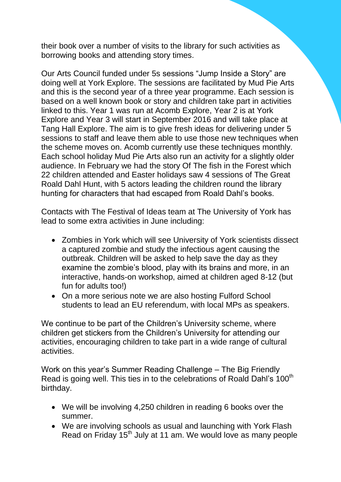their book over a number of visits to the library for such activities as borrowing books and attending story times.

Our Arts Council funded under 5s sessions "Jump Inside a Story" are doing well at York Explore. The sessions are facilitated by Mud Pie Arts and this is the second year of a three year programme. Each session is based on a well known book or story and children take part in activities linked to this. Year 1 was run at Acomb Explore, Year 2 is at York Explore and Year 3 will start in September 2016 and will take place at Tang Hall Explore. The aim is to give fresh ideas for delivering under 5 sessions to staff and leave them able to use those new techniques when the scheme moves on. Acomb currently use these techniques monthly. Each school holiday Mud Pie Arts also run an activity for a slightly older audience. In February we had the story Of The fish in the Forest which 22 children attended and Easter holidays saw 4 sessions of The Great Roald Dahl Hunt, with 5 actors leading the children round the library hunting for characters that had escaped from Roald Dahl's books.

Contacts with The Festival of Ideas team at The University of York has lead to some extra activities in June including:

- Zombies in York which will see University of York scientists dissect a captured zombie and study the infectious agent causing the outbreak. Children will be asked to help save the day as they examine the zombie's blood, play with its brains and more, in an interactive, hands-on workshop, aimed at children aged 8-12 (but fun for adults too!)
- On a more serious note we are also hosting Fulford School students to lead an EU referendum, with local MPs as speakers.

We continue to be part of the Children's University scheme, where children get stickers from the Children's University for attending our activities, encouraging children to take part in a wide range of cultural activities.

Work on this year's Summer Reading Challenge – The Big Friendly Read is going well. This ties in to the celebrations of Roald Dahl's 100<sup>th</sup> birthday.

- We will be involving 4,250 children in reading 6 books over the summer.
- We are involving schools as usual and launching with York Flash Read on Friday 15<sup>th</sup> July at 11 am. We would love as many people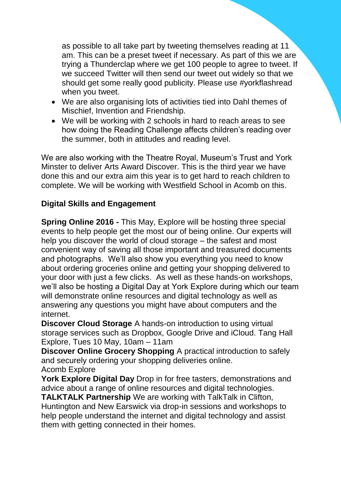as possible to all take part by tweeting themselves reading at 11 am. This can be a preset tweet if necessary. As part of this we are trying a Thunderclap where we get 100 people to agree to tweet. If we succeed Twitter will then send our tweet out widely so that we should get some really good publicity. Please use #yorkflashread when you tweet.

- We are also organising lots of activities tied into Dahl themes of Mischief, Invention and Friendship.
- We will be working with 2 schools in hard to reach areas to see how doing the Reading Challenge affects children's reading over the summer, both in attitudes and reading level.

We are also working with the Theatre Royal, Museum's Trust and York Minster to deliver Arts Award Discover. This is the third year we have done this and our extra aim this year is to get hard to reach children to complete. We will be working with Westfield School in Acomb on this.

### **Digital Skills and Engagement**

**Spring Online 2016 -** This May, Explore will be hosting three special events to help people get the most our of being online. Our experts will help you discover the world of cloud storage – the safest and most convenient way of saving all those important and treasured documents and photographs. We'll also show you everything you need to know about ordering groceries online and getting your shopping delivered to your door with just a few clicks. As well as these hands-on workshops, we'll also be hosting a Digital Day at York Explore during which our team will demonstrate online resources and digital technology as well as answering any questions you might have about computers and the internet.

**Discover Cloud Storage** A hands-on introduction to using virtual storage services such as Dropbox, Google Drive and iCloud. Tang Hall Explore, Tues 10 May, 10am – 11am

**Discover Online Grocery Shopping** A practical introduction to safely and securely ordering your shopping deliveries online. Acomb Explore

**York Explore Digital Day** Drop in for free tasters, demonstrations and advice about a range of online resources and digital technologies.

**TALKTALK Partnership** We are working with TalkTalk in Clifton, Huntington and New Earswick via drop-in sessions and workshops to help people understand the internet and digital technology and assist them with getting connected in their homes.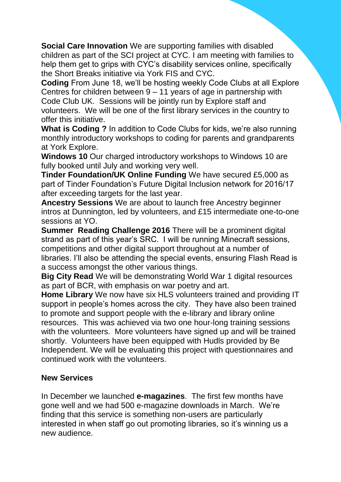**Social Care Innovation** We are supporting families with disabled children as part of the SCI project at CYC. I am meeting with families to help them get to grips with CYC's disability services online, specifically the Short Breaks initiative via York FIS and CYC.

**Coding** From June 18, we'll be hosting weekly Code Clubs at all Explore Centres for children between 9 – 11 years of age in partnership with Code Club UK. Sessions will be jointly run by Explore staff and volunteers. We will be one of the first library services in the country to offer this initiative.

**What is Coding ?** In addition to Code Clubs for kids, we're also running monthly introductory workshops to coding for parents and grandparents at York Explore.

**Windows 10** Our charged introductory workshops to Windows 10 are fully booked until July and working very well.

**Tinder Foundation/UK Online Funding** We have secured £5,000 as part of Tinder Foundation's Future Digital Inclusion network for 2016/17 after exceeding targets for the last year.

**Ancestry Sessions** We are about to launch free Ancestry beginner intros at Dunnington, led by volunteers, and £15 intermediate one-to-one sessions at YO.

**Summer Reading Challenge 2016** There will be a prominent digital strand as part of this year's SRC. I will be running Minecraft sessions, competitions and other digital support throughout at a number of libraries. I'll also be attending the special events, ensuring Flash Read is a success amongst the other various things.

**Big City Read** We will be demonstrating World War 1 digital resources as part of BCR, with emphasis on war poetry and art.

**Home Library** We now have six HLS volunteers trained and providing IT support in people's homes across the city. They have also been trained to promote and support people with the e-library and library online resources. This was achieved via two one hour-long training sessions with the volunteers. More volunteers have signed up and will be trained shortly. Volunteers have been equipped with Hudls provided by Be Independent. We will be evaluating this project with questionnaires and continued work with the volunteers.

#### **New Services**

In December we launched **e-magazines**. The first few months have gone well and we had 500 e-magazine downloads in March. We're finding that this service is something non-users are particularly interested in when staff go out promoting libraries, so it's winning us a new audience.